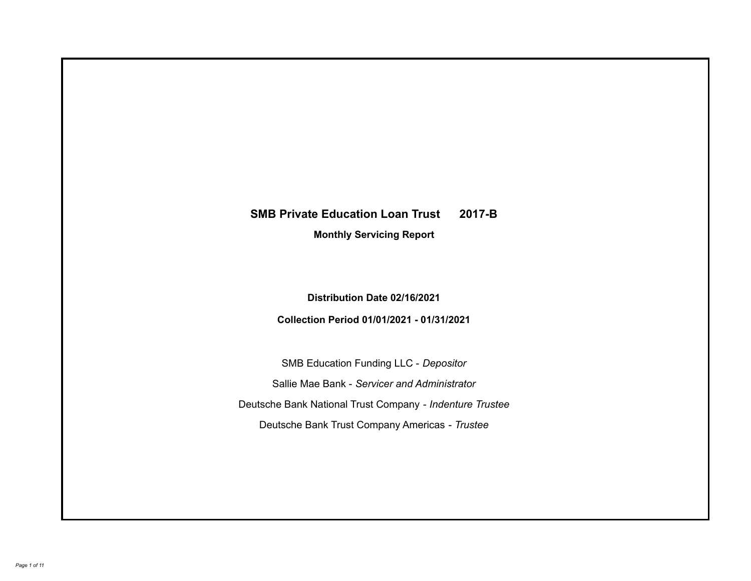# **SMB Private Education Loan Trust 2017-B**

**Monthly Servicing Report**

**Distribution Date 02/16/2021**

**Collection Period 01/01/2021 - 01/31/2021**

SMB Education Funding LLC - *Depositor* Sallie Mae Bank - *Servicer and Administrator* Deutsche Bank National Trust Company - *Indenture Trustee* Deutsche Bank Trust Company Americas - *Trustee*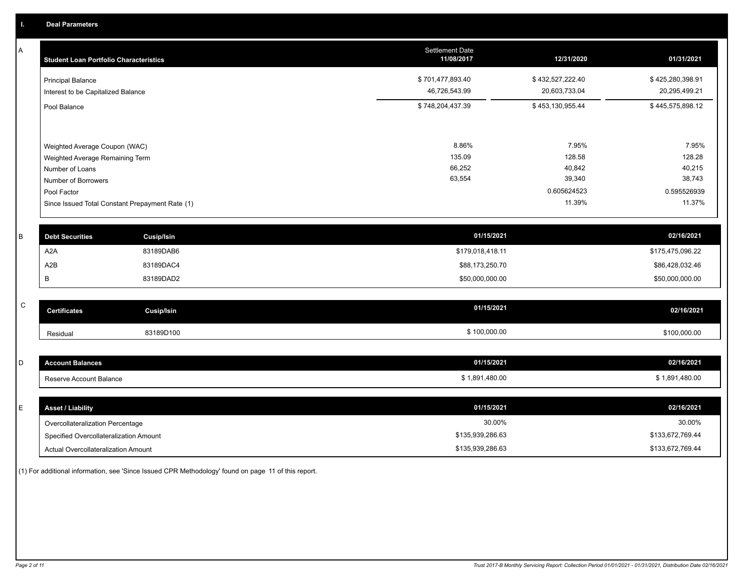A

| A            | <b>Student Loan Portfolio Characteristics</b> |                                                 | <b>Settlement Date</b><br>11/08/2017 | 12/31/2020       | 01/31/2021       |
|--------------|-----------------------------------------------|-------------------------------------------------|--------------------------------------|------------------|------------------|
|              | <b>Principal Balance</b>                      |                                                 | \$701,477,893.40                     | \$432,527,222.40 | \$425,280,398.91 |
|              | Interest to be Capitalized Balance            |                                                 | 46,726,543.99                        | 20,603,733.04    | 20,295,499.21    |
|              | Pool Balance                                  |                                                 | \$748,204,437.39                     | \$453,130,955.44 | \$445,575,898.12 |
|              |                                               |                                                 |                                      |                  |                  |
|              | Weighted Average Coupon (WAC)                 |                                                 | 8.86%                                | 7.95%            | 7.95%            |
|              | Weighted Average Remaining Term               |                                                 | 135.09                               | 128.58           | 128.28           |
|              | Number of Loans                               |                                                 | 66,252                               | 40,842           | 40,215           |
|              | Number of Borrowers                           |                                                 | 63,554                               | 39,340           | 38,743           |
|              | Pool Factor                                   |                                                 |                                      | 0.605624523      | 0.595526939      |
|              |                                               | Since Issued Total Constant Prepayment Rate (1) |                                      | 11.39%           | 11.37%           |
|              |                                               |                                                 |                                      |                  |                  |
| B            | <b>Debt Securities</b>                        | <b>Cusip/Isin</b>                               | 01/15/2021                           |                  | 02/16/2021       |
|              | A <sub>2</sub> A                              | 83189DAB6                                       | \$179,018,418.11                     |                  | \$175,475,096.22 |
|              | A2B                                           | 83189DAC4                                       | \$88,173,250.70                      |                  | \$86,428,032.46  |
|              | В                                             | 83189DAD2                                       | \$50,000,000.00                      |                  | \$50,000,000.00  |
| $\mathsf{C}$ |                                               |                                                 |                                      |                  |                  |
|              | <b>Certificates</b>                           | <b>Cusip/Isin</b>                               | 01/15/2021                           |                  | 02/16/2021       |
|              | Residual                                      | 83189D100                                       | \$100,000.00                         |                  | \$100,000.00     |
|              |                                               |                                                 |                                      |                  |                  |
| D            | <b>Account Balances</b>                       |                                                 | 01/15/2021                           |                  | 02/16/2021       |
|              | Reserve Account Balance                       |                                                 | \$1,891,480.00                       |                  | \$1,891,480.00   |
|              |                                               |                                                 |                                      |                  |                  |
| E            | <b>Asset / Liability</b>                      |                                                 | 01/15/2021                           |                  | 02/16/2021       |
|              | Overcollateralization Percentage              |                                                 | 30.00%                               |                  | 30.00%           |

Specified Overcollateralization Amount

Actual Overcollateralization Amount \$135,939,286.63

(1) For additional information, see 'Since Issued CPR Methodology' found on page 11 of this report.

\$133,672,769.44 \$133,672,769.44

\$135,939,286.63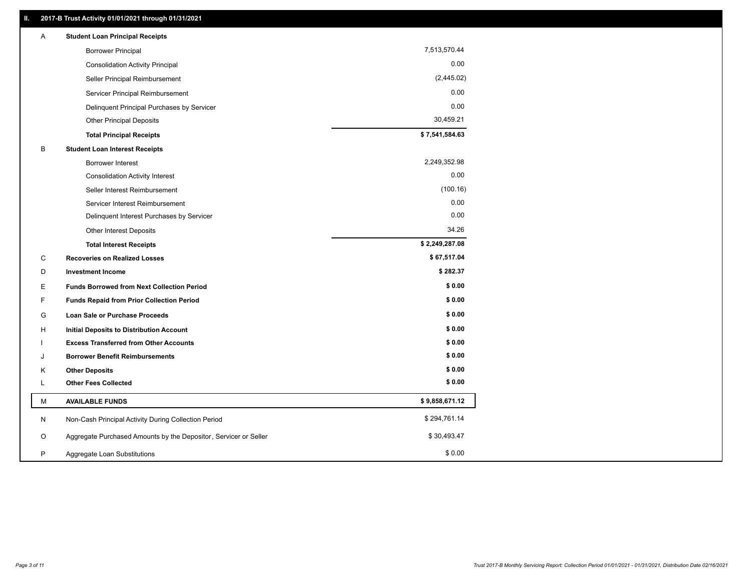| Α  | <b>Student Loan Principal Receipts</b>                           |                |
|----|------------------------------------------------------------------|----------------|
|    | <b>Borrower Principal</b>                                        | 7,513,570.44   |
|    | <b>Consolidation Activity Principal</b>                          | 0.00           |
|    | Seller Principal Reimbursement                                   | (2,445.02)     |
|    | Servicer Principal Reimbursement                                 | 0.00           |
|    | Delinquent Principal Purchases by Servicer                       | 0.00           |
|    | <b>Other Principal Deposits</b>                                  | 30,459.21      |
|    | <b>Total Principal Receipts</b>                                  | \$7,541,584.63 |
| В  | <b>Student Loan Interest Receipts</b>                            |                |
|    | <b>Borrower Interest</b>                                         | 2,249,352.98   |
|    | <b>Consolidation Activity Interest</b>                           | 0.00           |
|    | Seller Interest Reimbursement                                    | (100.16)       |
|    | Servicer Interest Reimbursement                                  | 0.00           |
|    | Delinquent Interest Purchases by Servicer                        | 0.00           |
|    | Other Interest Deposits                                          | 34.26          |
|    | <b>Total Interest Receipts</b>                                   | \$2,249,287.08 |
| C  | <b>Recoveries on Realized Losses</b>                             | \$67,517.04    |
| D  | <b>Investment Income</b>                                         | \$282.37       |
| Е  | <b>Funds Borrowed from Next Collection Period</b>                | \$0.00         |
| F. | <b>Funds Repaid from Prior Collection Period</b>                 | \$0.00         |
| G  | <b>Loan Sale or Purchase Proceeds</b>                            | \$0.00         |
| н  | Initial Deposits to Distribution Account                         | \$0.00         |
|    | <b>Excess Transferred from Other Accounts</b>                    | \$0.00         |
| J  | <b>Borrower Benefit Reimbursements</b>                           | \$0.00         |
| Κ  | <b>Other Deposits</b>                                            | \$0.00         |
| L  | <b>Other Fees Collected</b>                                      | \$0.00         |
| М  | <b>AVAILABLE FUNDS</b>                                           | \$9,858,671.12 |
| N  | Non-Cash Principal Activity During Collection Period             | \$294,761.14   |
| O  | Aggregate Purchased Amounts by the Depositor, Servicer or Seller | \$30,493.47    |
| P  | Aggregate Loan Substitutions                                     | \$0.00         |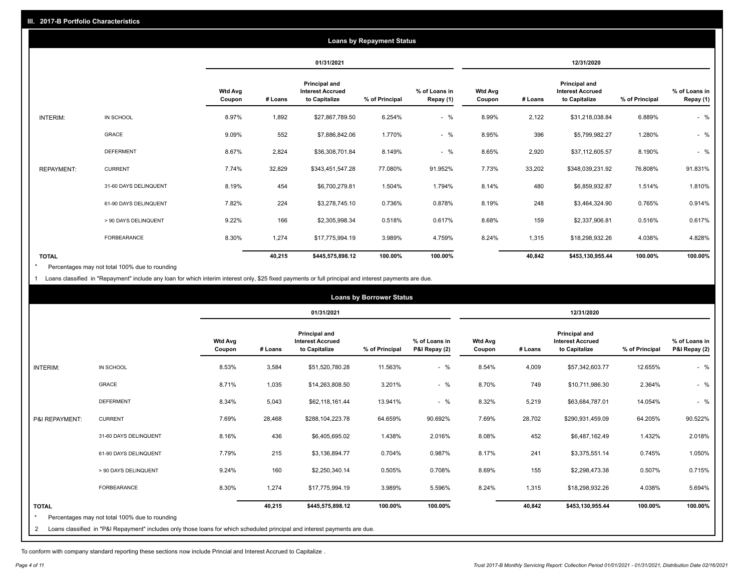|                   |                       |                          |            |                                                           | <b>Loans by Repayment Status</b> |                            |                          |         |                                                                  |                |                            |
|-------------------|-----------------------|--------------------------|------------|-----------------------------------------------------------|----------------------------------|----------------------------|--------------------------|---------|------------------------------------------------------------------|----------------|----------------------------|
|                   |                       |                          | 01/31/2021 |                                                           |                                  |                            | 12/31/2020               |         |                                                                  |                |                            |
|                   |                       | <b>Wtd Avg</b><br>Coupon | # Loans    | Principal and<br><b>Interest Accrued</b><br>to Capitalize | % of Principal                   | % of Loans in<br>Repay (1) | <b>Wtd Avg</b><br>Coupon | # Loans | <b>Principal and</b><br><b>Interest Accrued</b><br>to Capitalize | % of Principal | % of Loans in<br>Repay (1) |
| INTERIM:          | IN SCHOOL             | 8.97%                    | 1,892      | \$27,867,789.50                                           | 6.254%                           | $-$ %                      | 8.99%                    | 2,122   | \$31,218,038.84                                                  | 6.889%         | $-$ %                      |
|                   | GRACE                 | 9.09%                    | 552        | \$7,886,842.06                                            | 1.770%                           | $-$ %                      | 8.95%                    | 396     | \$5,799,982.27                                                   | 1.280%         | $-$ %                      |
|                   | <b>DEFERMENT</b>      | 8.67%                    | 2,824      | \$36,308,701.84                                           | 8.149%                           | $-$ %                      | 8.65%                    | 2,920   | \$37,112,605.57                                                  | 8.190%         | $-$ %                      |
| <b>REPAYMENT:</b> | <b>CURRENT</b>        | 7.74%                    | 32,829     | \$343,451,547.28                                          | 77.080%                          | 91.952%                    | 7.73%                    | 33,202  | \$348,039,231.92                                                 | 76.808%        | 91.831%                    |
|                   | 31-60 DAYS DELINQUENT | 8.19%                    | 454        | \$6,700,279.81                                            | 1.504%                           | 1.794%                     | 8.14%                    | 480     | \$6,859,932.87                                                   | 1.514%         | 1.810%                     |
|                   | 61-90 DAYS DELINQUENT | 7.82%                    | 224        | \$3,278,745.10                                            | 0.736%                           | 0.878%                     | 8.19%                    | 248     | \$3,464,324.90                                                   | 0.765%         | 0.914%                     |
|                   | > 90 DAYS DELINQUENT  | 9.22%                    | 166        | \$2,305,998.34                                            | 0.518%                           | 0.617%                     | 8.68%                    | 159     | \$2,337,906.81                                                   | 0.516%         | 0.617%                     |
|                   | <b>FORBEARANCE</b>    | 8.30%                    | 1,274      | \$17,775,994.19                                           | 3.989%                           | 4.759%                     | 8.24%                    | 1,315   | \$18,298,932.26                                                  | 4.038%         | 4.828%                     |
| <b>TOTAL</b>      |                       |                          | 40,215     | \$445,575,898.12                                          | 100.00%                          | 100.00%                    |                          | 40,842  | \$453,130,955.44                                                 | 100.00%        | 100.00%                    |

Percentages may not total 100% due to rounding \*

1 Loans classified in "Repayment" include any loan for which interim interest only, \$25 fixed payments or full principal and interest payments are due.

|                         |                                                                                                                            |                          | <b>Loans by Borrower Status</b> |                                                                  |                |                                |                          |         |                                                                  |                |                                |
|-------------------------|----------------------------------------------------------------------------------------------------------------------------|--------------------------|---------------------------------|------------------------------------------------------------------|----------------|--------------------------------|--------------------------|---------|------------------------------------------------------------------|----------------|--------------------------------|
|                         |                                                                                                                            |                          |                                 | 01/31/2021                                                       |                |                                |                          |         | 12/31/2020                                                       |                |                                |
|                         |                                                                                                                            | <b>Wtd Avg</b><br>Coupon | # Loans                         | <b>Principal and</b><br><b>Interest Accrued</b><br>to Capitalize | % of Principal | % of Loans in<br>P&I Repay (2) | <b>Wtd Avg</b><br>Coupon | # Loans | <b>Principal and</b><br><b>Interest Accrued</b><br>to Capitalize | % of Principal | % of Loans in<br>P&I Repay (2) |
| <b>INTERIM:</b>         | IN SCHOOL                                                                                                                  | 8.53%                    | 3,584                           | \$51,520,780.28                                                  | 11.563%        | $-$ %                          | 8.54%                    | 4,009   | \$57,342,603.77                                                  | 12.655%        | $-$ %                          |
|                         | <b>GRACE</b>                                                                                                               | 8.71%                    | 1,035                           | \$14,263,808.50                                                  | 3.201%         | $-$ %                          | 8.70%                    | 749     | \$10,711,986.30                                                  | 2.364%         | $-$ %                          |
|                         | <b>DEFERMENT</b>                                                                                                           | 8.34%                    | 5,043                           | \$62,118,161.44                                                  | 13.941%        | $-$ %                          | 8.32%                    | 5,219   | \$63,684,787.01                                                  | 14.054%        | $-$ %                          |
| P&I REPAYMENT:          | <b>CURRENT</b>                                                                                                             | 7.69%                    | 28,468                          | \$288,104,223.78                                                 | 64.659%        | 90.692%                        | 7.69%                    | 28,702  | \$290,931,459.09                                                 | 64.205%        | 90.522%                        |
|                         | 31-60 DAYS DELINQUENT                                                                                                      | 8.16%                    | 436                             | \$6,405,695.02                                                   | 1.438%         | 2.016%                         | 8.08%                    | 452     | \$6,487,162.49                                                   | 1.432%         | 2.018%                         |
|                         | 61-90 DAYS DELINQUENT                                                                                                      | 7.79%                    | 215                             | \$3,136,894.77                                                   | 0.704%         | 0.987%                         | 8.17%                    | 241     | \$3,375,551.14                                                   | 0.745%         | 1.050%                         |
|                         | > 90 DAYS DELINQUENT                                                                                                       | 9.24%                    | 160                             | \$2,250,340.14                                                   | 0.505%         | 0.708%                         | 8.69%                    | 155     | \$2,298,473.38                                                   | 0.507%         | 0.715%                         |
|                         | <b>FORBEARANCE</b>                                                                                                         | 8.30%                    | 1,274                           | \$17,775,994.19                                                  | 3.989%         | 5.596%                         | 8.24%                    | 1,315   | \$18,298,932.26                                                  | 4.038%         | 5.694%                         |
| <b>TOTAL</b><br>$\star$ | Percentages may not total 100% due to rounding                                                                             |                          | 40,215                          | \$445,575,898.12                                                 | 100.00%        | 100.00%                        |                          | 40,842  | \$453,130,955.44                                                 | 100.00%        | 100.00%                        |
| 2                       | Loans classified in "P&I Repayment" includes only those loans for which scheduled principal and interest payments are due. |                          |                                 |                                                                  |                |                                |                          |         |                                                                  |                |                                |

To conform with company standard reporting these sections now include Princial and Interest Accrued to Capitalize .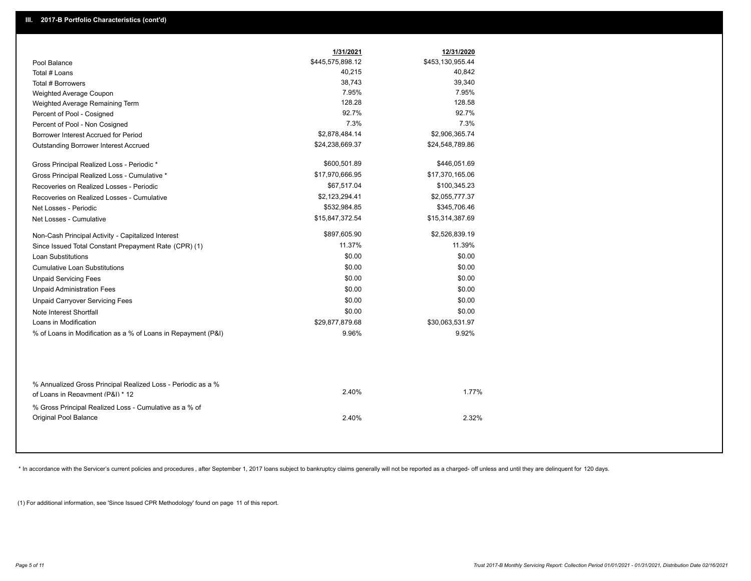| \$445,575,898.12<br>\$453,130,955.44<br>Pool Balance<br>40,215<br>40,842<br>Total # Loans<br>38,743<br>39,340<br>Total # Borrowers<br>7.95%<br>7.95%<br>Weighted Average Coupon<br>128.28<br>128.58<br>Weighted Average Remaining Term<br>92.7%<br>92.7%<br>Percent of Pool - Cosigned<br>7.3%<br>7.3%<br>Percent of Pool - Non Cosigned<br>\$2,878,484.14<br>\$2,906,365.74<br>Borrower Interest Accrued for Period<br>\$24,238,669.37<br>\$24,548,789.86<br><b>Outstanding Borrower Interest Accrued</b><br>\$600,501.89<br>\$446,051.69<br>Gross Principal Realized Loss - Periodic *<br>\$17,970,666.95<br>\$17,370,165.06<br>Gross Principal Realized Loss - Cumulative *<br>\$67,517.04<br>\$100,345.23<br>Recoveries on Realized Losses - Periodic<br>\$2,123,294.41<br>\$2,055,777.37<br>Recoveries on Realized Losses - Cumulative<br>\$532,984.85<br>\$345,706.46<br>Net Losses - Periodic<br>\$15,847,372.54<br>\$15,314,387.69<br>Net Losses - Cumulative<br>\$897,605.90<br>\$2,526,839.19<br>Non-Cash Principal Activity - Capitalized Interest<br>11.37%<br>11.39%<br>Since Issued Total Constant Prepayment Rate (CPR) (1)<br>\$0.00<br>\$0.00<br><b>Loan Substitutions</b><br>\$0.00<br>\$0.00<br>Cumulative Loan Substitutions<br>\$0.00<br>\$0.00<br><b>Unpaid Servicing Fees</b><br>\$0.00<br>\$0.00<br><b>Unpaid Administration Fees</b><br>\$0.00<br>\$0.00<br><b>Unpaid Carryover Servicing Fees</b><br>\$0.00<br>\$0.00<br>Note Interest Shortfall<br>Loans in Modification<br>\$29,877,879.68<br>\$30,063,531.97<br>9.96%<br>9.92%<br>% of Loans in Modification as a % of Loans in Repayment (P&I)<br>% Annualized Gross Principal Realized Loss - Periodic as a % |                                  | 1/31/2021 | 12/31/2020 |
|----------------------------------------------------------------------------------------------------------------------------------------------------------------------------------------------------------------------------------------------------------------------------------------------------------------------------------------------------------------------------------------------------------------------------------------------------------------------------------------------------------------------------------------------------------------------------------------------------------------------------------------------------------------------------------------------------------------------------------------------------------------------------------------------------------------------------------------------------------------------------------------------------------------------------------------------------------------------------------------------------------------------------------------------------------------------------------------------------------------------------------------------------------------------------------------------------------------------------------------------------------------------------------------------------------------------------------------------------------------------------------------------------------------------------------------------------------------------------------------------------------------------------------------------------------------------------------------------------------------------------------------------------------------------------------------------|----------------------------------|-----------|------------|
|                                                                                                                                                                                                                                                                                                                                                                                                                                                                                                                                                                                                                                                                                                                                                                                                                                                                                                                                                                                                                                                                                                                                                                                                                                                                                                                                                                                                                                                                                                                                                                                                                                                                                              |                                  |           |            |
|                                                                                                                                                                                                                                                                                                                                                                                                                                                                                                                                                                                                                                                                                                                                                                                                                                                                                                                                                                                                                                                                                                                                                                                                                                                                                                                                                                                                                                                                                                                                                                                                                                                                                              |                                  |           |            |
|                                                                                                                                                                                                                                                                                                                                                                                                                                                                                                                                                                                                                                                                                                                                                                                                                                                                                                                                                                                                                                                                                                                                                                                                                                                                                                                                                                                                                                                                                                                                                                                                                                                                                              |                                  |           |            |
|                                                                                                                                                                                                                                                                                                                                                                                                                                                                                                                                                                                                                                                                                                                                                                                                                                                                                                                                                                                                                                                                                                                                                                                                                                                                                                                                                                                                                                                                                                                                                                                                                                                                                              |                                  |           |            |
|                                                                                                                                                                                                                                                                                                                                                                                                                                                                                                                                                                                                                                                                                                                                                                                                                                                                                                                                                                                                                                                                                                                                                                                                                                                                                                                                                                                                                                                                                                                                                                                                                                                                                              |                                  |           |            |
|                                                                                                                                                                                                                                                                                                                                                                                                                                                                                                                                                                                                                                                                                                                                                                                                                                                                                                                                                                                                                                                                                                                                                                                                                                                                                                                                                                                                                                                                                                                                                                                                                                                                                              |                                  |           |            |
|                                                                                                                                                                                                                                                                                                                                                                                                                                                                                                                                                                                                                                                                                                                                                                                                                                                                                                                                                                                                                                                                                                                                                                                                                                                                                                                                                                                                                                                                                                                                                                                                                                                                                              |                                  |           |            |
|                                                                                                                                                                                                                                                                                                                                                                                                                                                                                                                                                                                                                                                                                                                                                                                                                                                                                                                                                                                                                                                                                                                                                                                                                                                                                                                                                                                                                                                                                                                                                                                                                                                                                              |                                  |           |            |
|                                                                                                                                                                                                                                                                                                                                                                                                                                                                                                                                                                                                                                                                                                                                                                                                                                                                                                                                                                                                                                                                                                                                                                                                                                                                                                                                                                                                                                                                                                                                                                                                                                                                                              |                                  |           |            |
|                                                                                                                                                                                                                                                                                                                                                                                                                                                                                                                                                                                                                                                                                                                                                                                                                                                                                                                                                                                                                                                                                                                                                                                                                                                                                                                                                                                                                                                                                                                                                                                                                                                                                              |                                  |           |            |
|                                                                                                                                                                                                                                                                                                                                                                                                                                                                                                                                                                                                                                                                                                                                                                                                                                                                                                                                                                                                                                                                                                                                                                                                                                                                                                                                                                                                                                                                                                                                                                                                                                                                                              |                                  |           |            |
|                                                                                                                                                                                                                                                                                                                                                                                                                                                                                                                                                                                                                                                                                                                                                                                                                                                                                                                                                                                                                                                                                                                                                                                                                                                                                                                                                                                                                                                                                                                                                                                                                                                                                              |                                  |           |            |
|                                                                                                                                                                                                                                                                                                                                                                                                                                                                                                                                                                                                                                                                                                                                                                                                                                                                                                                                                                                                                                                                                                                                                                                                                                                                                                                                                                                                                                                                                                                                                                                                                                                                                              |                                  |           |            |
|                                                                                                                                                                                                                                                                                                                                                                                                                                                                                                                                                                                                                                                                                                                                                                                                                                                                                                                                                                                                                                                                                                                                                                                                                                                                                                                                                                                                                                                                                                                                                                                                                                                                                              |                                  |           |            |
|                                                                                                                                                                                                                                                                                                                                                                                                                                                                                                                                                                                                                                                                                                                                                                                                                                                                                                                                                                                                                                                                                                                                                                                                                                                                                                                                                                                                                                                                                                                                                                                                                                                                                              |                                  |           |            |
|                                                                                                                                                                                                                                                                                                                                                                                                                                                                                                                                                                                                                                                                                                                                                                                                                                                                                                                                                                                                                                                                                                                                                                                                                                                                                                                                                                                                                                                                                                                                                                                                                                                                                              |                                  |           |            |
|                                                                                                                                                                                                                                                                                                                                                                                                                                                                                                                                                                                                                                                                                                                                                                                                                                                                                                                                                                                                                                                                                                                                                                                                                                                                                                                                                                                                                                                                                                                                                                                                                                                                                              |                                  |           |            |
|                                                                                                                                                                                                                                                                                                                                                                                                                                                                                                                                                                                                                                                                                                                                                                                                                                                                                                                                                                                                                                                                                                                                                                                                                                                                                                                                                                                                                                                                                                                                                                                                                                                                                              |                                  |           |            |
|                                                                                                                                                                                                                                                                                                                                                                                                                                                                                                                                                                                                                                                                                                                                                                                                                                                                                                                                                                                                                                                                                                                                                                                                                                                                                                                                                                                                                                                                                                                                                                                                                                                                                              |                                  |           |            |
|                                                                                                                                                                                                                                                                                                                                                                                                                                                                                                                                                                                                                                                                                                                                                                                                                                                                                                                                                                                                                                                                                                                                                                                                                                                                                                                                                                                                                                                                                                                                                                                                                                                                                              |                                  |           |            |
|                                                                                                                                                                                                                                                                                                                                                                                                                                                                                                                                                                                                                                                                                                                                                                                                                                                                                                                                                                                                                                                                                                                                                                                                                                                                                                                                                                                                                                                                                                                                                                                                                                                                                              |                                  |           |            |
|                                                                                                                                                                                                                                                                                                                                                                                                                                                                                                                                                                                                                                                                                                                                                                                                                                                                                                                                                                                                                                                                                                                                                                                                                                                                                                                                                                                                                                                                                                                                                                                                                                                                                              |                                  |           |            |
|                                                                                                                                                                                                                                                                                                                                                                                                                                                                                                                                                                                                                                                                                                                                                                                                                                                                                                                                                                                                                                                                                                                                                                                                                                                                                                                                                                                                                                                                                                                                                                                                                                                                                              |                                  |           |            |
|                                                                                                                                                                                                                                                                                                                                                                                                                                                                                                                                                                                                                                                                                                                                                                                                                                                                                                                                                                                                                                                                                                                                                                                                                                                                                                                                                                                                                                                                                                                                                                                                                                                                                              |                                  |           |            |
|                                                                                                                                                                                                                                                                                                                                                                                                                                                                                                                                                                                                                                                                                                                                                                                                                                                                                                                                                                                                                                                                                                                                                                                                                                                                                                                                                                                                                                                                                                                                                                                                                                                                                              |                                  |           |            |
|                                                                                                                                                                                                                                                                                                                                                                                                                                                                                                                                                                                                                                                                                                                                                                                                                                                                                                                                                                                                                                                                                                                                                                                                                                                                                                                                                                                                                                                                                                                                                                                                                                                                                              |                                  |           |            |
|                                                                                                                                                                                                                                                                                                                                                                                                                                                                                                                                                                                                                                                                                                                                                                                                                                                                                                                                                                                                                                                                                                                                                                                                                                                                                                                                                                                                                                                                                                                                                                                                                                                                                              | of Loans in Repayment (P&I) * 12 | 2.40%     | 1.77%      |
| % Gross Principal Realized Loss - Cumulative as a % of<br>Original Pool Balance<br>2.40%<br>2.32%                                                                                                                                                                                                                                                                                                                                                                                                                                                                                                                                                                                                                                                                                                                                                                                                                                                                                                                                                                                                                                                                                                                                                                                                                                                                                                                                                                                                                                                                                                                                                                                            |                                  |           |            |

\* In accordance with the Servicer's current policies and procedures, after September 1, 2017 loans subject to bankruptcy claims generally will not be reported as a charged- off unless and until they are delinquent for 120

(1) For additional information, see 'Since Issued CPR Methodology' found on page 11 of this report.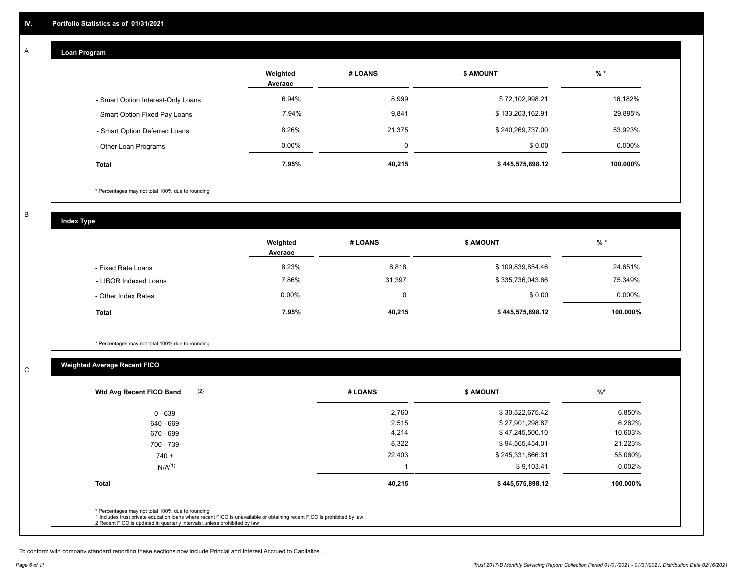#### **Loan Program**  A

|                                    | Weighted<br>Average | # LOANS | <b>\$ AMOUNT</b> | $%$ *    |
|------------------------------------|---------------------|---------|------------------|----------|
| - Smart Option Interest-Only Loans | 6.94%               | 8,999   | \$72,102,998.21  | 16.182%  |
| - Smart Option Fixed Pay Loans     | 7.94%               | 9,841   | \$133,203,162.91 | 29.895%  |
| - Smart Option Deferred Loans      | 8.26%               | 21.375  | \$240,269,737.00 | 53.923%  |
| - Other Loan Programs              | $0.00\%$            |         | \$0.00           | 0.000%   |
| <b>Total</b>                       | 7.95%               | 40,215  | \$445,575,898.12 | 100.000% |

\* Percentages may not total 100% due to rounding

B

C

**Index Type**

|                       | Weighted<br>Average | # LOANS | <b>\$ AMOUNT</b> | $%$ *     |
|-----------------------|---------------------|---------|------------------|-----------|
| - Fixed Rate Loans    | 8.23%               | 8,818   | \$109,839,854.46 | 24.651%   |
| - LIBOR Indexed Loans | 7.86%               | 31,397  | \$335,736,043.66 | 75.349%   |
| - Other Index Rates   | $0.00\%$            |         | \$0.00           | $0.000\%$ |
| <b>Total</b>          | 7.95%               | 40,215  | \$445,575,898.12 | 100.000%  |

\* Percentages may not total 100% due to rounding

## **Weighted Average Recent FICO**

| 2,760<br>2,515<br>4,214 | \$30,522,675.42<br>\$27,901,298.87 | 6.850%<br>6.262% |
|-------------------------|------------------------------------|------------------|
|                         |                                    |                  |
|                         |                                    |                  |
|                         | \$47,245,500.10                    | 10.603%          |
| 8,322                   | \$94,565,454.01                    | 21.223%          |
| 22,403                  | \$245,331,866.31                   | 55.060%          |
|                         | \$9,103.41                         | 0.002%           |
| 40,215                  | \$445,575,898.12                   | 100.000%         |
|                         |                                    |                  |

To conform with company standard reporting these sections now include Princial and Interest Accrued to Capitalize .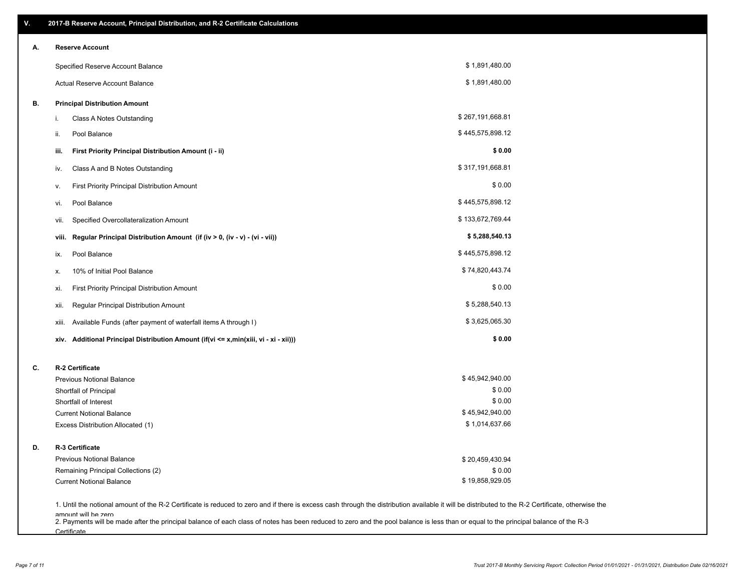| ۷. | 2017-B Reserve Account, Principal Distribution, and R-2 Certificate Calculations                                                                                                                                          |                  |  |
|----|---------------------------------------------------------------------------------------------------------------------------------------------------------------------------------------------------------------------------|------------------|--|
| А. | <b>Reserve Account</b>                                                                                                                                                                                                    |                  |  |
|    | Specified Reserve Account Balance                                                                                                                                                                                         | \$1,891,480.00   |  |
|    | Actual Reserve Account Balance                                                                                                                                                                                            | \$1,891,480.00   |  |
| В. | <b>Principal Distribution Amount</b>                                                                                                                                                                                      |                  |  |
|    | Class A Notes Outstanding<br>i.                                                                                                                                                                                           | \$267,191,668.81 |  |
|    | Pool Balance<br>ii.                                                                                                                                                                                                       | \$445,575,898.12 |  |
|    | First Priority Principal Distribution Amount (i - ii)<br>iii.                                                                                                                                                             | \$0.00           |  |
|    | Class A and B Notes Outstanding<br>iv.                                                                                                                                                                                    | \$317,191,668.81 |  |
|    | First Priority Principal Distribution Amount<br>۷.                                                                                                                                                                        | \$0.00           |  |
|    | Pool Balance<br>VI.                                                                                                                                                                                                       | \$445,575,898.12 |  |
|    | Specified Overcollateralization Amount<br>vii.                                                                                                                                                                            | \$133,672,769.44 |  |
|    | Regular Principal Distribution Amount (if (iv > 0, (iv - v) - (vi - vii))<br>viii.                                                                                                                                        | \$5,288,540.13   |  |
|    | Pool Balance<br>ix.                                                                                                                                                                                                       | \$445,575,898.12 |  |
|    | 10% of Initial Pool Balance<br>х.                                                                                                                                                                                         | \$74,820,443.74  |  |
|    | First Priority Principal Distribution Amount<br>xi.                                                                                                                                                                       | \$0.00           |  |
|    | Regular Principal Distribution Amount<br>xii.                                                                                                                                                                             | \$5,288,540.13   |  |
|    | Available Funds (after payment of waterfall items A through I)<br>xiii.                                                                                                                                                   | \$3,625,065.30   |  |
|    | Additional Principal Distribution Amount (if(vi <= x,min(xiii, vi - xi - xii)))<br>xiv.                                                                                                                                   | \$0.00           |  |
| C. | R-2 Certificate                                                                                                                                                                                                           |                  |  |
|    | <b>Previous Notional Balance</b>                                                                                                                                                                                          | \$45,942,940.00  |  |
|    | Shortfall of Principal                                                                                                                                                                                                    | \$0.00           |  |
|    | Shortfall of Interest                                                                                                                                                                                                     | \$0.00           |  |
|    | <b>Current Notional Balance</b>                                                                                                                                                                                           | \$45,942,940.00  |  |
|    | Excess Distribution Allocated (1)                                                                                                                                                                                         | \$1,014,637.66   |  |
| D. | R-3 Certificate                                                                                                                                                                                                           |                  |  |
|    | <b>Previous Notional Balance</b>                                                                                                                                                                                          | \$20,459,430.94  |  |
|    | Remaining Principal Collections (2)                                                                                                                                                                                       | \$0.00           |  |
|    | <b>Current Notional Balance</b>                                                                                                                                                                                           | \$19,858,929.05  |  |
|    | 1. Until the notional amount of the R-2 Certificate is reduced to zero and if there is excess cash through the distribution available it will be distributed to the R-2 Certificate, otherwise the<br>amount will be zero |                  |  |

amount will be zero<br>2. Payments will be made after the principal balance of each class of notes has been reduced to zero and the pool balance is less than or equal to the principal balance of the R-3 **Certificate**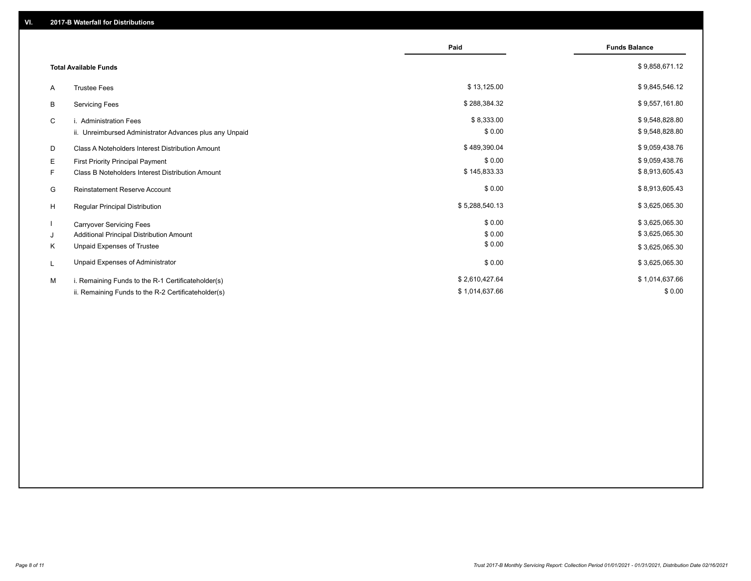|                                               |                                                         | Paid           | <b>Funds Balance</b> |
|-----------------------------------------------|---------------------------------------------------------|----------------|----------------------|
| <b>Total Available Funds</b>                  |                                                         |                | \$9,858,671.12       |
| <b>Trustee Fees</b><br>A                      |                                                         | \$13,125.00    | \$9,845,546.12       |
| <b>Servicing Fees</b><br>B                    |                                                         | \$288,384.32   | \$9,557,161.80       |
| C<br>i. Administration Fees                   |                                                         | \$8,333.00     | \$9,548,828.80       |
|                                               | ii. Unreimbursed Administrator Advances plus any Unpaid | \$0.00         | \$9,548,828.80       |
| D                                             | Class A Noteholders Interest Distribution Amount        | \$489,390.04   | \$9,059,438.76       |
| Е<br>First Priority Principal Payment         |                                                         | \$0.00         | \$9,059,438.76       |
| F.                                            | Class B Noteholders Interest Distribution Amount        | \$145,833.33   | \$8,913,605.43       |
| G<br><b>Reinstatement Reserve Account</b>     |                                                         | \$0.00         | \$8,913,605.43       |
| H<br>Regular Principal Distribution           |                                                         | \$5,288,540.13 | \$3,625,065.30       |
| <b>Carryover Servicing Fees</b>               |                                                         | \$0.00         | \$3,625,065.30       |
| Additional Principal Distribution Amount<br>J |                                                         | \$0.00         | \$3,625,065.30       |
| Κ<br>Unpaid Expenses of Trustee               |                                                         | \$0.00         | \$3,625,065.30       |
| Unpaid Expenses of Administrator<br>L         |                                                         | \$0.00         | \$3,625,065.30       |
| M                                             | i. Remaining Funds to the R-1 Certificateholder(s)      | \$2,610,427.64 | \$1,014,637.66       |
|                                               | ii. Remaining Funds to the R-2 Certificateholder(s)     | \$1,014,637.66 | \$0.00               |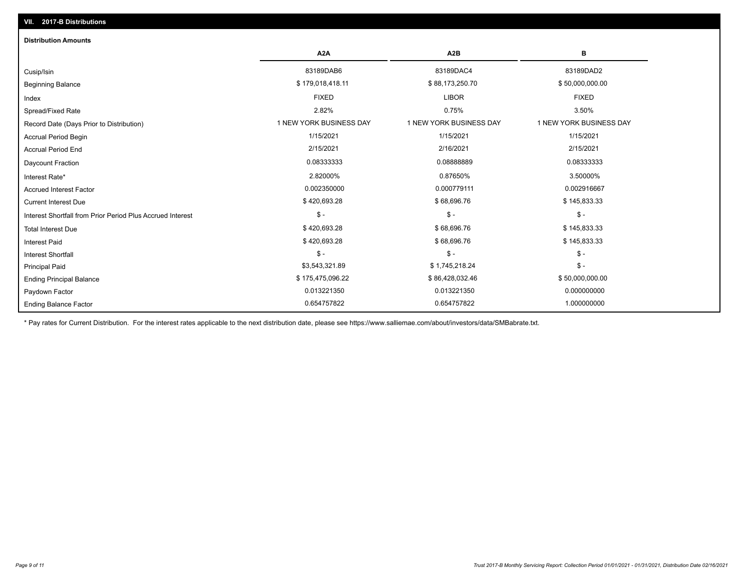| <b>Distribution Amounts</b>                                |                         |                         |                         |
|------------------------------------------------------------|-------------------------|-------------------------|-------------------------|
|                                                            | A <sub>2</sub> A        | A <sub>2</sub> B        | в                       |
| Cusip/Isin                                                 | 83189DAB6               | 83189DAC4               | 83189DAD2               |
| <b>Beginning Balance</b>                                   | \$179,018,418.11        | \$88,173,250.70         | \$50,000,000.00         |
| Index                                                      | <b>FIXED</b>            | <b>LIBOR</b>            | <b>FIXED</b>            |
| Spread/Fixed Rate                                          | 2.82%                   | 0.75%                   | 3.50%                   |
| Record Date (Days Prior to Distribution)                   | 1 NEW YORK BUSINESS DAY | 1 NEW YORK BUSINESS DAY | 1 NEW YORK BUSINESS DAY |
| <b>Accrual Period Begin</b>                                | 1/15/2021               | 1/15/2021               | 1/15/2021               |
| <b>Accrual Period End</b>                                  | 2/15/2021               | 2/16/2021               | 2/15/2021               |
| <b>Daycount Fraction</b>                                   | 0.08333333              | 0.08888889              | 0.08333333              |
| Interest Rate*                                             | 2.82000%                | 0.87650%                | 3.50000%                |
| <b>Accrued Interest Factor</b>                             | 0.002350000             | 0.000779111             | 0.002916667             |
| <b>Current Interest Due</b>                                | \$420,693.28            | \$68,696.76             | \$145,833.33            |
| Interest Shortfall from Prior Period Plus Accrued Interest | $\mathsf{\$}$ -         | $\mathsf{\$}$ -         | $\mathsf{\$}$ -         |
| <b>Total Interest Due</b>                                  | \$420,693.28            | \$68,696.76             | \$145,833.33            |
| <b>Interest Paid</b>                                       | \$420,693.28            | \$68,696.76             | \$145,833.33            |
| <b>Interest Shortfall</b>                                  | $\mathsf{\$}$ -         | $\mathsf{\$}$ -         | $$ -$                   |
| <b>Principal Paid</b>                                      | \$3,543,321.89          | \$1,745,218.24          | $$ -$                   |
| <b>Ending Principal Balance</b>                            | \$175,475,096.22        | \$86,428,032.46         | \$50,000,000.00         |
| Paydown Factor                                             | 0.013221350             | 0.013221350             | 0.000000000             |
| <b>Ending Balance Factor</b>                               | 0.654757822             | 0.654757822             | 1.000000000             |

\* Pay rates for Current Distribution. For the interest rates applicable to the next distribution date, please see https://www.salliemae.com/about/investors/data/SMBabrate.txt.

**VII. 2017-B Distributions**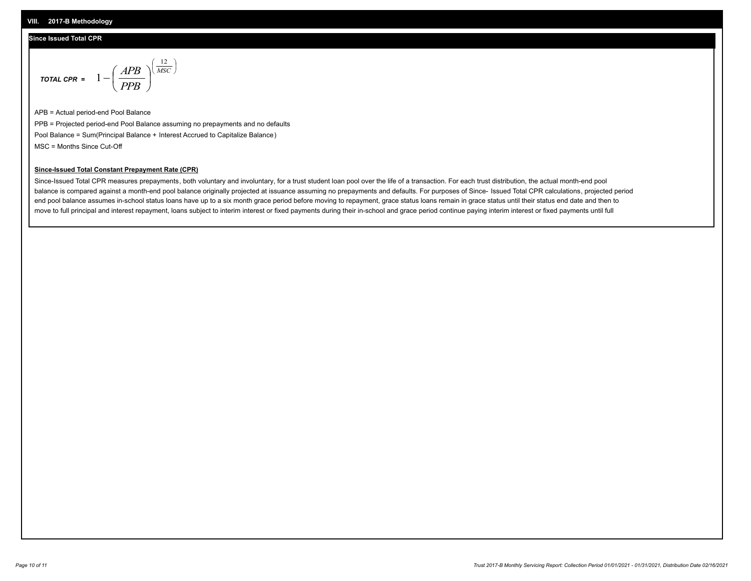#### **VIII. 2017-B Methodology**

#### **Since Issued Total CPR**

$$
\text{total CPR} = 1 - \left(\frac{APB}{PPB}\right)^{\left(\frac{12}{MSC}\right)}
$$

APB = Actual period-end Pool Balance PPB = Projected period-end Pool Balance assuming no prepayments and no defaults Pool Balance = Sum(Principal Balance + Interest Accrued to Capitalize Balance) MSC = Months Since Cut-Off

 $\mathsf{I}$ J λ

### **Since-Issued Total Constant Prepayment Rate (CPR)**

Since-Issued Total CPR measures prepayments, both voluntary and involuntary, for a trust student loan pool over the life of a transaction. For each trust distribution, the actual month-end pool balance is compared against a month-end pool balance originally projected at issuance assuming no prepayments and defaults. For purposes of Since- Issued Total CPR calculations, projected period end pool balance assumes in-school status loans have up to a six month grace period before moving to repayment, grace status loans remain in grace status until their status end date and then to move to full principal and interest repayment, loans subject to interim interest or fixed payments during their in-school and grace period continue paying interim interest or fixed payments until full